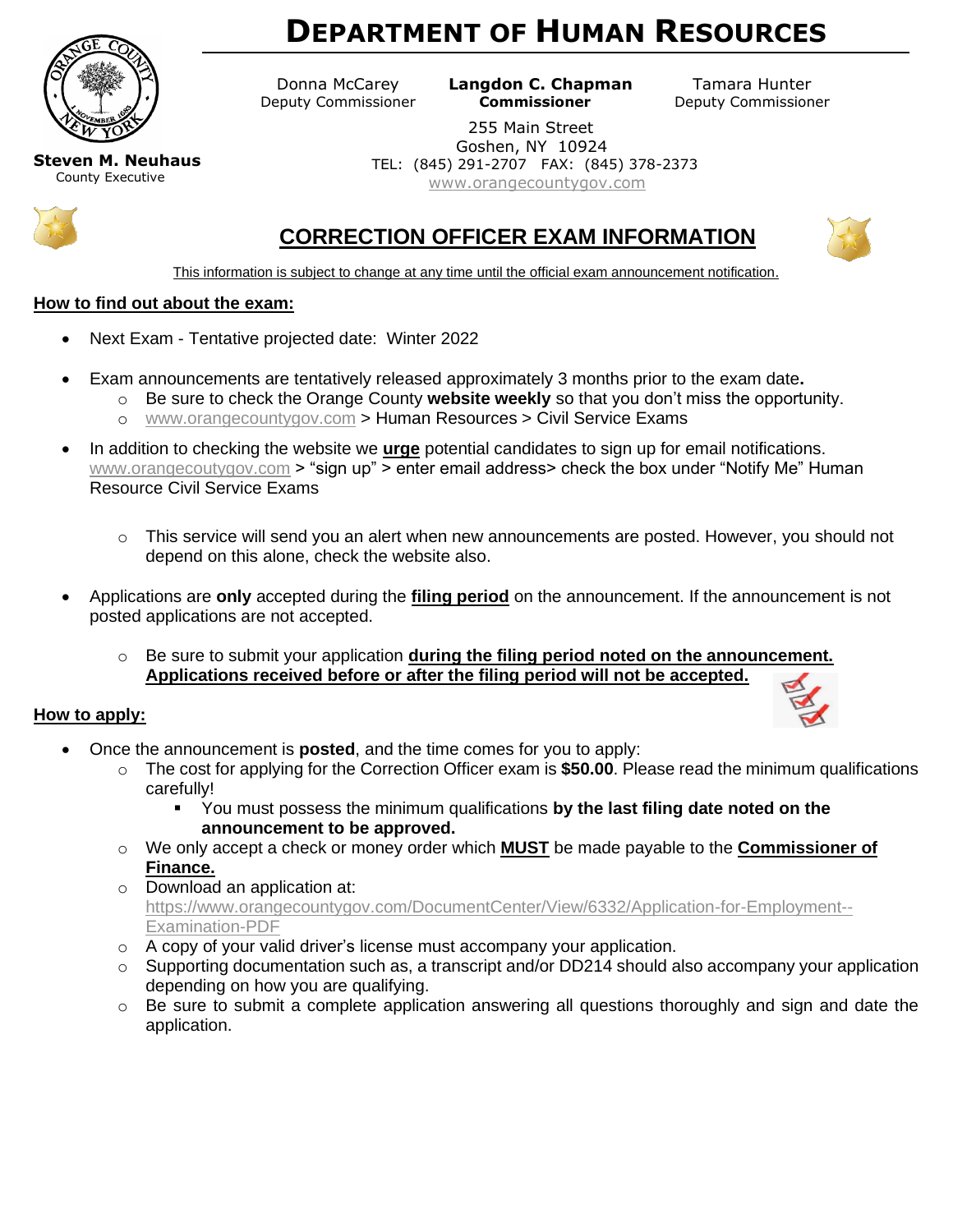

# **DEPARTMENT OF HUMAN RESOURCES**

 Donna McCarey **Langdon C. Chapman** Tamara Hunter Deputy Commissioner **Commissioner** Deputy Commissioner

> 255 Main Street Goshen, NY 10924 TEL: (845) 291-2707 FAX: (845) 378-2373 [www.orangecountygov.com](http://www.orangecountygov.com/)

**Steven M. Neuhaus** County Executive



## **CORRECTION OFFICER EXAM INFORMATION**



This information is subject to change at any time until the official exam announcement notification.

#### **How to find out about the exam:**

- Next Exam Tentative projected date: Winter 2022
- Exam announcements are tentatively released approximately 3 months prior to the exam date**.**
	- o Be sure to check the Orange County **website weekly** so that you don't miss the opportunity.
		- o [www.orangecountygov.com](http://www.orangecountygov.com/) > Human Resources > Civil Service Exams
- In addition to checking the website we **urge** potential candidates to sign up for email notifications. [www.orangecoutygov.com](http://www.orangecoutygov.com/) > "sign up" > enter email address> check the box under "Notify Me" Human Resource Civil Service Exams
	- $\circ$  This service will send you an alert when new announcements are posted. However, you should not depend on this alone, check the website also.
- Applications are **only** accepted during the **filing period** on the announcement. If the announcement is not posted applications are not accepted.
	- o Be sure to submit your application **during the filing period noted on the announcement. Applications received before or after the filing period will not be accepted.**

#### **How to apply:**



- Once the announcement is **posted**, and the time comes for you to apply:
	- o The cost for applying for the Correction Officer exam is **\$50.00**. Please read the minimum qualifications carefully!
		- You must possess the minimum qualifications **by the last filing date noted on the announcement to be approved.**
	- o We only accept a check or money order which **MUST** be made payable to the **Commissioner of Finance.**
	- o Download an application at: [https://www.orangecountygov.com/DocumentCenter/View/6332/Application-for-Employment--](https://www.orangecountygov.com/DocumentCenter/View/6332/Application-for-Employment--Examination-PDF) [Examination-PDF](https://www.orangecountygov.com/DocumentCenter/View/6332/Application-for-Employment--Examination-PDF)
	- o A copy of your valid driver's license must accompany your application.
	- $\circ$  Supporting documentation such as, a transcript and/or DD214 should also accompany your application depending on how you are qualifying.
	- $\circ$  Be sure to submit a complete application answering all questions thoroughly and sign and date the application.